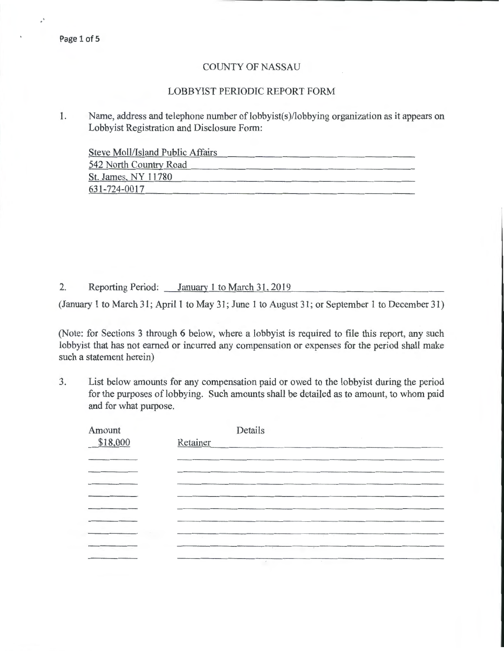J.

## COUNTY OF NASSAU

## LOBBYIST PERIODIC REPORT FORM

1. Name, address and telephone number of lobbyist(s)/lobbying organization as it appears on Lobbyist Registration and Disclosure Form:

Steve Moll/Island Public Affairs

| 542 North Country Road |  |
|------------------------|--|
| St. James, NY 11780    |  |
| 631-724-0017           |  |

2. Reporting Period: January 1 to March 31,2019

(January 1 to March 31; April 1 to May 31; June 1 to August 31; or September 1 to December 31)

(Note: for Sections 3 through 6 below, where a lobbyist is required to file this report, any such lobbyist that has not earned or incurred any compensation or expenses for the period shall make such a statement herein)

3. List below amounts for any compensation paid or owed to the lobbyist during the period for the purposes of lobbying. Such amounts shall be detailed as to amount, to whom paid and for what purpose.

| Amount   |                   | Details                           |  |
|----------|-------------------|-----------------------------------|--|
| \$18,000 | Retainer          |                                   |  |
|          |                   |                                   |  |
|          |                   |                                   |  |
|          |                   |                                   |  |
|          |                   |                                   |  |
|          |                   |                                   |  |
|          |                   |                                   |  |
|          | <b>Contractor</b> | the contract of the contract of   |  |
|          |                   | $\sim$<br>$\overline{a}$          |  |
|          |                   | <b>Contract Contract Contract</b> |  |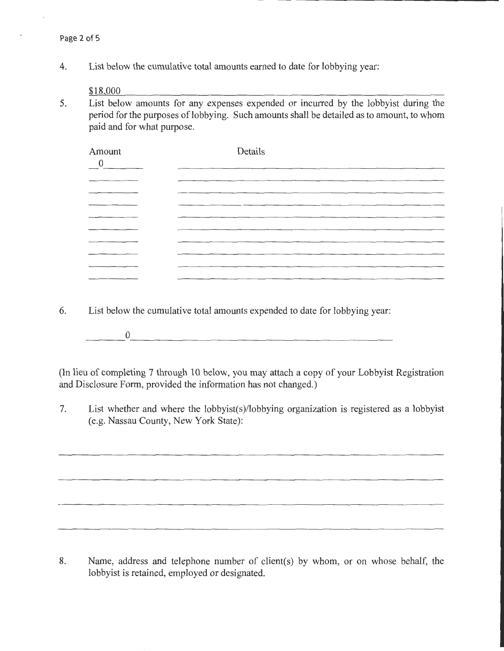4. List below the cumulative total amounts earned to date for lobbying year:

\$18 000

5. List below amounts for any expenses expended or incurred by the lobbyist during the period for the purposes of lobbying. Such amounts shall be detailed as to amount, to whom paid and for what purpose.

| Amount<br>$\overline{0}$ | Details |
|--------------------------|---------|
| _______<br>______        |         |
|                          |         |
|                          |         |
|                          |         |
|                          |         |
| _________                |         |
|                          |         |
|                          |         |
|                          |         |

- 6. List below the cumulative total amounts expended to date for lobbying year:
	- $\begin{array}{c} 0 \end{array}$

(In lieu of completing 7 through 10 below, you may attach a copy of your Lobbyist Registration and Disclosure Form, provided the information has not changed.)

7. List whether and where the lobbyist(s)/lobbying organization is registered as a lobbyist (e.g. Nassau County, New York State):

8. Name, address and telephone number of client(s) by whom, or on whose behalf, the lobbyist is retained, employed or designated.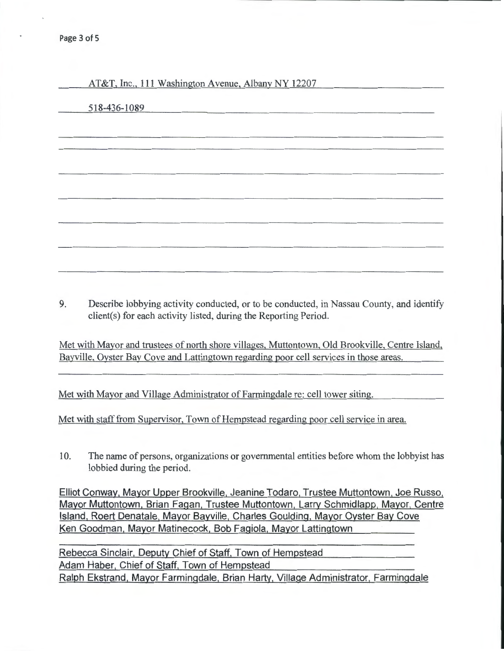AT&T, Inc., 111 Washington Avenue, Albany NY 12207

|  | 518-436-1089 |  |
|--|--------------|--|
|  |              |  |

9. Describe lobbying activity conducted, or to be conducted, in Nassau County, and identify client(s) for each activity listed, during the Reporting Period.

Met with Mayor and trustees of north shore villages, Muttontown, Old Brookville, Centre Island, Bayville, Oyster Bay Cove and Lattingtown regarding poor cell services in those areas.

Met with Mayor and Village Administrator of Farmingdale re: cell tower siting.

Met with staff from Supervisor, Town of Hempstead regarding poor cell service in area.

10. The name of persons, organizations or governmental entities before whom the lobbyist has lobbied during the period.

Elliot Conway, Mayor Upper Brookville, Jeanine Todaro, Trustee Muttontown, Joe Russo, Mayor Muttontown, Brian Fagan, Trustee Muttontown, Larry Schmidlapp, Mayor, Centre Island, Roert Denatale, Mayor Bayville, Charles Goulding, Mayor Oyster Bay Cove Ken Goodman, Mayor Matinecock, Bob Fagiola, Mayor Lattingtown

Rebecca Sinclair, Deputy Chief of Staff, Town of Hempstead Adam Haber, Chief of Staff, Town of Hempstead Ralph Ekstrand, Mayor Farmingdale, Brian Harty, Village Administrator, Farmingdale